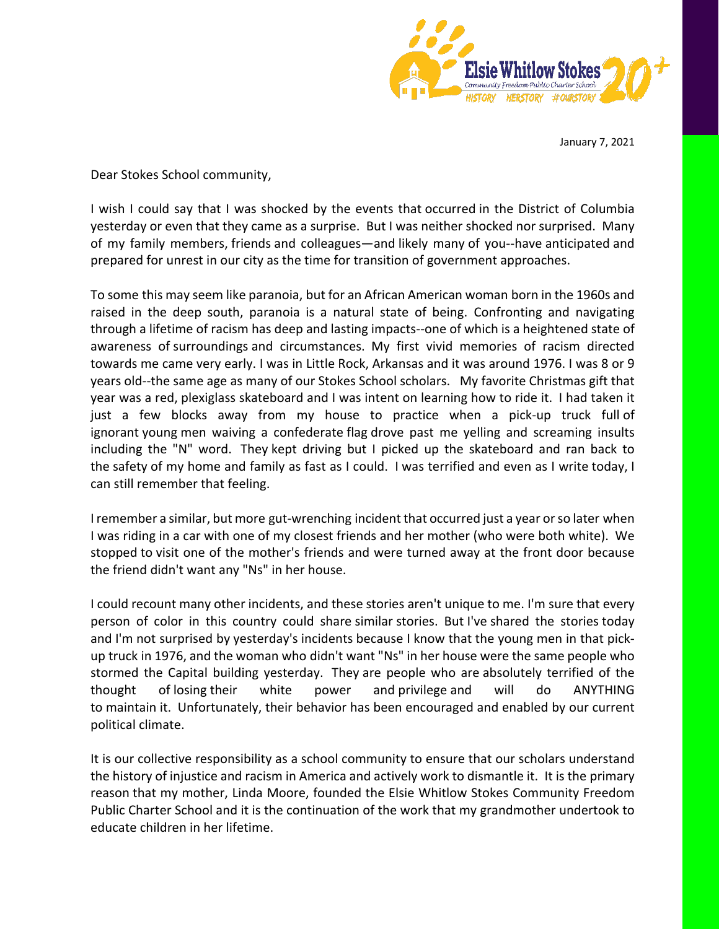

January 7, 2021

Dear Stokes School community,

I wish I could say that I was shocked by the events that occurred in the District of Columbia yesterday or even that they came as a surprise. But I was neither shocked nor surprised. Many of my family members, friends and colleagues—and likely many of you--have anticipated and prepared for unrest in our city as the time for transition of government approaches.

To some this may seem like paranoia, but for an African American woman born in the 1960s and raised in the deep south, paranoia is a natural state of being. Confronting and navigating through a lifetime of racism has deep and lasting impacts--one of which is a heightened state of awareness of surroundings and circumstances. My first vivid memories of racism directed towards me came very early. I was in Little Rock, Arkansas and it was around 1976. I was 8 or 9 years old--the same age as many of our Stokes School scholars. My favorite Christmas gift that year was a red, plexiglass skateboard and I was intent on learning how to ride it. I had taken it just a few blocks away from my house to practice when a pick-up truck full of ignorant young men waiving a confederate flag drove past me yelling and screaming insults including the "N" word. They kept driving but I picked up the skateboard and ran back to the safety of my home and family as fast as I could. I was terrified and even as I write today, I can still remember that feeling.

I remember a similar, but more gut-wrenching incident that occurred just a year or so later when I was riding in a car with one of my closest friends and her mother (who were both white). We stopped to visit one of the mother's friends and were turned away at the front door because the friend didn't want any "Ns" in her house.

I could recount many other incidents, and these stories aren't unique to me. I'm sure that every person of color in this country could share similar stories. But I've shared the stories today and I'm not surprised by yesterday's incidents because I know that the young men in that pickup truck in 1976, and the woman who didn't want "Ns" in her house were the same people who stormed the Capital building yesterday. They are people who are absolutely terrified of the thought of losing their white power and privilege and will do ANYTHING to maintain it. Unfortunately, their behavior has been encouraged and enabled by our current political climate.

It is our collective responsibility as a school community to ensure that our scholars understand the history of injustice and racism in America and actively work to dismantle it. It is the primary reason that my mother, Linda Moore, founded the Elsie Whitlow Stokes Community Freedom Public Charter School and it is the continuation of the work that my grandmother undertook to educate children in her lifetime.